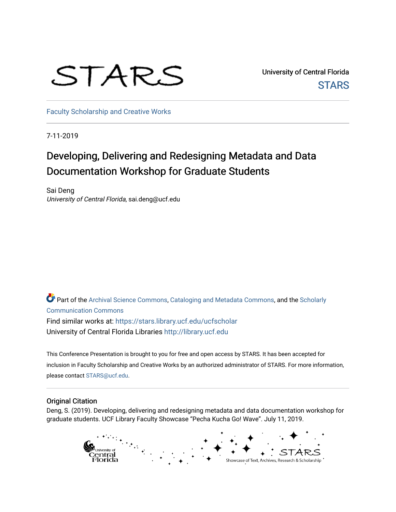# STARS

University of Central Florida **STARS** 

[Faculty Scholarship and Creative Works](https://stars.library.ucf.edu/ucfscholar) 

7-11-2019

#### Developing, Delivering and Redesigning Metadata and Data Documentation Workshop for Graduate Students

Sai Deng University of Central Florida, sai.deng@ucf.edu

Part of the [Archival Science Commons,](http://network.bepress.com/hgg/discipline/1021?utm_source=stars.library.ucf.edu%2Fucfscholar%2F899&utm_medium=PDF&utm_campaign=PDFCoverPages) [Cataloging and Metadata Commons,](http://network.bepress.com/hgg/discipline/1270?utm_source=stars.library.ucf.edu%2Fucfscholar%2F899&utm_medium=PDF&utm_campaign=PDFCoverPages) and the [Scholarly](http://network.bepress.com/hgg/discipline/1272?utm_source=stars.library.ucf.edu%2Fucfscholar%2F899&utm_medium=PDF&utm_campaign=PDFCoverPages)  [Communication Commons](http://network.bepress.com/hgg/discipline/1272?utm_source=stars.library.ucf.edu%2Fucfscholar%2F899&utm_medium=PDF&utm_campaign=PDFCoverPages) Find similar works at: <https://stars.library.ucf.edu/ucfscholar> University of Central Florida Libraries [http://library.ucf.edu](http://library.ucf.edu/) 

This Conference Presentation is brought to you for free and open access by STARS. It has been accepted for inclusion in Faculty Scholarship and Creative Works by an authorized administrator of STARS. For more information, please contact [STARS@ucf.edu](mailto:STARS@ucf.edu).

#### Original Citation

Deng, S. (2019). Developing, delivering and redesigning metadata and data documentation workshop for graduate students. UCF Library Faculty Showcase "Pecha Kucha Go! Wave". July 11, 2019.

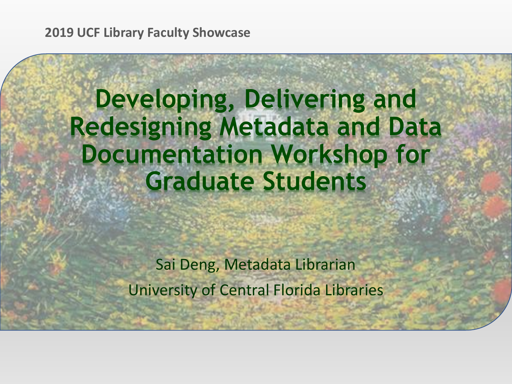**2019 UCF Library Faculty Showcase** 

### **Developing, Delivering and Redesigning Metadata and Data Documentation Workshop for Graduate Students**

Sai Deng, Metadata Librarian University of Central Florida Libraries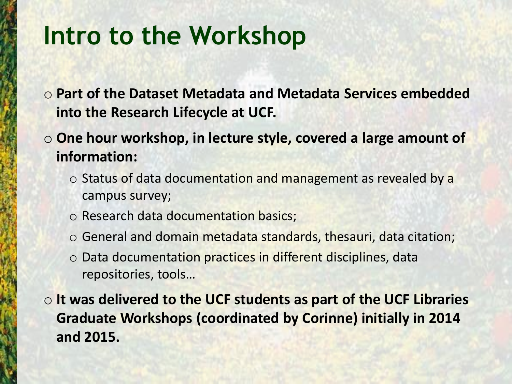### **Intro to the Workshop**

- o **Part of the Dataset Metadata and Metadata Services embedded into the Research Lifecycle at UCF.**
- o **One hour workshop, in lecture style, covered a large amount of information:** 
	- $\circ$  Status of data documentation and management as revealed by a campus survey;
	- o Research data documentation basics;
	- o General and domain metadata standards, thesauri, data citation;
	- $\circ$  Data documentation practices in different disciplines, data repositories, tools…

o **It was delivered to the UCF students as part of the UCF Libraries Graduate Workshops (coordinated by Corinne) initially in 2014 and 2015.**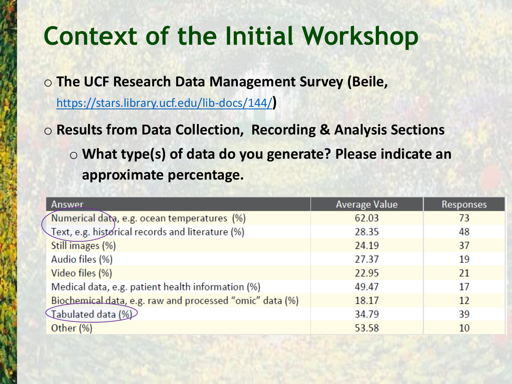o **The UCF Research Data Management Survey (Beile,** 

<https://stars.library.ucf.edu/lib-docs/144/>**)**

o **Results from Data Collection, Recording & Analysis Sections** o **What type(s) of data do you generate? Please indicate an approximate percentage.**

| <b>Answer</b>                                            | <b>Average Value</b> | <b>Responses</b> |
|----------------------------------------------------------|----------------------|------------------|
| Numerical data, e.g. ocean temperatures (%)              | 62.03                | 73               |
| Text, e.g. historical records and literature (%)         | 28.35                | 48               |
| Still images (%)                                         | 24.19                | 37               |
| Audio files (%)                                          | 27.37                | 19               |
| Video files (%)                                          | 22.95                | 21               |
| Medical data, e.g. patient health information (%)        | 49.47                | 17               |
| Biochemical data, e.g. raw and processed "omic" data (%) | 18.17                | 12               |
| (1%) Tabulated data                                      | 34.79                | 39               |
| Other (%)                                                | 53.58                | 10               |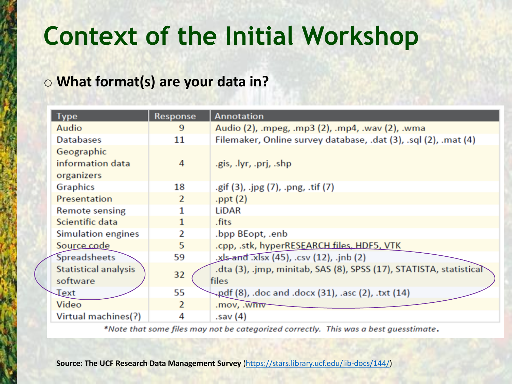#### o **What format(s) are your data in?**

| <b>Type</b>                                  | Response       | <b>Annotation</b>                                                           |
|----------------------------------------------|----------------|-----------------------------------------------------------------------------|
| Audio                                        | 9              | Audio (2), .mpeg, .mp3 (2), .mp4, .wav (2), .wma                            |
| <b>Databases</b>                             | 11             | Filemaker, Online survey database, .dat (3), .sql (2), .mat (4)             |
| Geographic<br>information data<br>organizers | 4              | .gis, .lyr, .prj, .shp                                                      |
| <b>Graphics</b>                              | 18             | .gif (3), .jpg (7), .png, .tif (7)                                          |
| Presentation                                 | $\overline{2}$ | .ppt $(2)$                                                                  |
| <b>Remote sensing</b>                        |                | LiDAR                                                                       |
| Scientific data                              | 1              | .fits                                                                       |
| <b>Simulation engines</b>                    | 2              | .bpp BEopt, .enb                                                            |
| Source code                                  | 5              | .cpp, .stk, hyperRESEARCH files, HDF5, VTK                                  |
| <b>Spreadsheets</b>                          | 59             | .xls-and .xlsx (45), .csv (12), .jnb (2)                                    |
| <b>Statistical analysis</b><br>software      | 32             | .dta (3), .jmp, minitab, SAS (8), SPSS (17), STATISTA, statistical<br>files |
| <b>Text</b>                                  | 55             | pdf (8), .doc and .docx (31), .asc (2), .txt (14)                           |
| Video                                        | $\overline{2}$ | .mov, .wmv                                                                  |
| Virtual machines(?)                          | 4              | .sav (4)                                                                    |

\*Note that some files may not be categorized correctly. This was a best guesstimate.

**Source: The UCF Research Data Management Survey** ([https://stars.library.ucf.edu/lib-docs/144/\)](https://stars.library.ucf.edu/lib-docs/144/)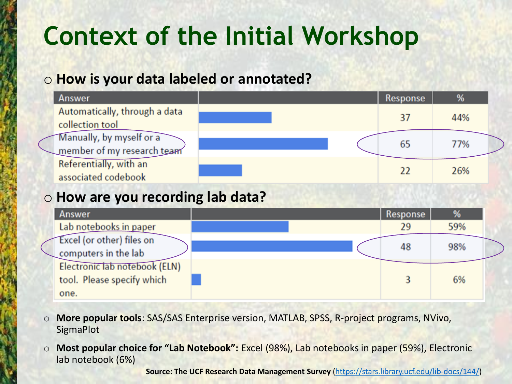#### o **How is your data labeled or annotated?**

| <b>Answer</b>                                          | <b>Response</b> | %   |
|--------------------------------------------------------|-----------------|-----|
| Automatically, through a data<br>collection tool       | 37              | 44% |
| Manually, by myself or a<br>member of my research team | 65              | 77% |
| Referentially, with an<br>associated codebook          |                 | 26% |

#### o **How are you recording lab data?**



- o **More popular tools**: SAS/SAS Enterprise version, MATLAB, SPSS, R-project programs, NVivo, **SigmaPlot**
- o **Most popular choice for "Lab Notebook":** Excel (98%), Lab notebooks in paper (59%), Electronic lab notebook (6%)

**Source: The UCF Research Data Management Survey** ([https://stars.library.ucf.edu/lib-docs/144/\)](https://stars.library.ucf.edu/lib-docs/144/)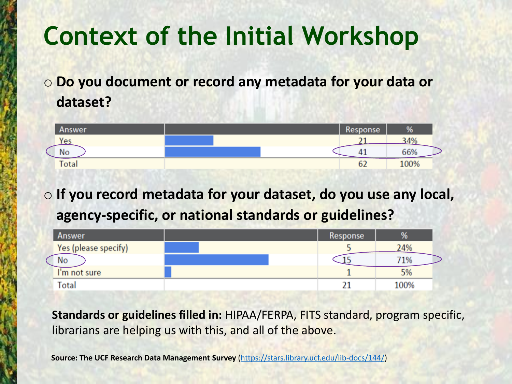o **Do you document or record any metadata for your data or dataset?**

| <b>Answer</b> |  | Response | %    |
|---------------|--|----------|------|
| Yes           |  |          | 34%  |
| No            |  | ۰,       | 66%  |
| Total         |  | oΖ       | 100% |

o **If you record metadata for your dataset, do you use any local, agency-specific, or national standards or guidelines?**

| <b>Answer</b>        | Response |      |
|----------------------|----------|------|
| Yes (please specify) |          | 24%  |
| No                   |          | '1%  |
| I'm not sure         |          | 5%   |
| <b>Total</b>         |          | 100% |

**Standards or guidelines filled in:** HIPAA/FERPA, FITS standard, program specific, librarians are helping us with this, and all of the above.

**Source: The UCF Research Data Management Survey** [\(https://stars.library.ucf.edu/lib-docs/144/\)](https://stars.library.ucf.edu/lib-docs/144/)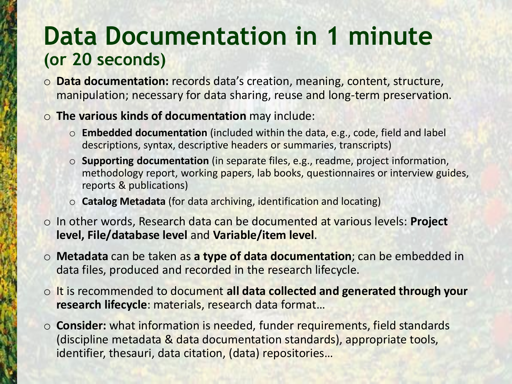### **Data Documentation in 1 minute (or 20 seconds)**

- o **Data documentation:** records data's creation, meaning, content, structure, manipulation; necessary for data sharing, reuse and long-term preservation.
- o **The various kinds of documentation** may include:
	- o **Embedded documentation** (included within the data, e.g., code, field and label descriptions, syntax, descriptive headers or summaries, transcripts)
	- o **Supporting documentation** (in separate files, e.g., readme, project information, methodology report, working papers, lab books, questionnaires or interview guides, reports & publications)
	- o **Catalog Metadata** (for data archiving, identification and locating)
- o In other words, Research data can be documented at various levels: **Project level, File/database level** and **Variable/item level**.
- o **Metadata** can be taken as **a type of data documentation**; can be embedded in data files, produced and recorded in the research lifecycle.
- o It is recommended to document **all data collected and generated through your research lifecycle**: materials, research data format…
- o **Consider:** what information is needed, funder requirements, field standards (discipline metadata & data documentation standards), appropriate tools, identifier, thesauri, data citation, (data) repositories…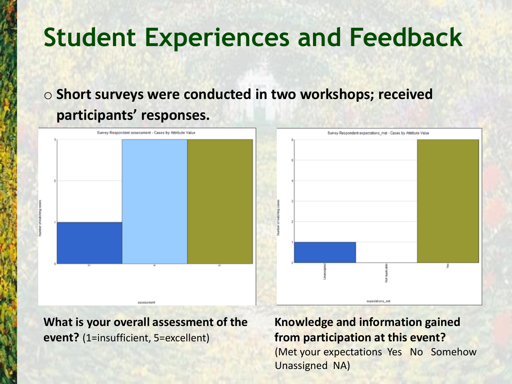### o **Short surveys were conducted in two workshops; received participants' responses.**





**What is your overall assessment of the event?** (1=insufficient, 5=excellent)

**ASSASS/BANS** 

#### **Knowledge and information gained from participation at this event?** (Met your expectations Yes No Somehow Unassigned NA)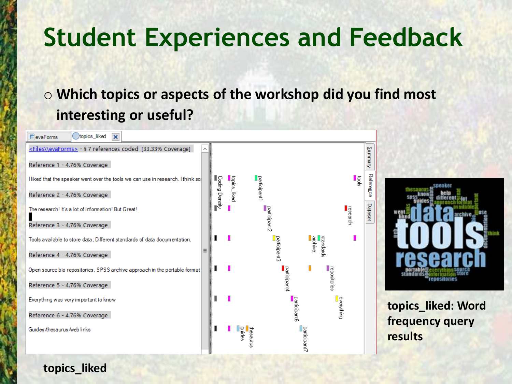### o **Which topics or aspects of the workshop did you find most interesting or useful?**



**topics\_liked: Word frequency query results**

**topics\_liked**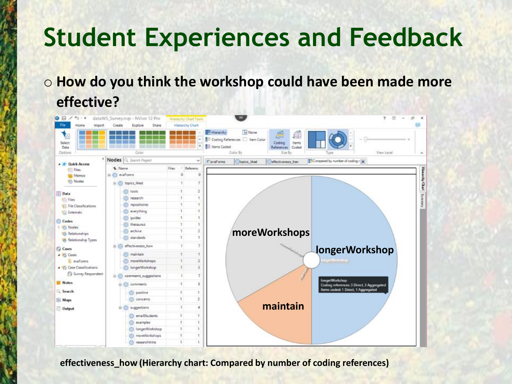### o **How do you think the workshop could have been made more effective?**

| <b>O H</b><br>∓ ⊢ و†<br>File<br>Home<br>Import | dataWS_Survey.nvp - NVivo 12 Pro<br>Create<br>Explore<br>Share | <b>Hierarchy Chart Toos</b><br><b>Hierarchy Chart</b> |                                                                                                                                                  |                                                                    |
|------------------------------------------------|----------------------------------------------------------------|-------------------------------------------------------|--------------------------------------------------------------------------------------------------------------------------------------------------|--------------------------------------------------------------------|
| Select<br>Data<br>Options                      | Color                                                          | $\equiv$                                              | None<br>Hierarchy<br>đ<br>Coding References   Item Color<br>Coding<br>Items<br><b>Ell Items Coded</b><br>References Coded<br>Color By<br>Size By | View Level<br>Type                                                 |
| <b>A Mr Quick Access</b>                       | Nodes Q, Search Project                                        | $\sim$                                                | Chopics liked<br>T'evaForms<br>effectiveness how                                                                                                 | E <sup>E</sup> Compared by number of coding r  x                   |
| Ell Files                                      | * Name                                                         | - Referenc<br>Files                                   |                                                                                                                                                  |                                                                    |
| <b>Will Memos</b>                              | E-C) evaForms                                                  | o<br>ō                                                |                                                                                                                                                  |                                                                    |
| <b>Nodes</b>                                   | <b>E C</b> topics liked                                        | ÷.<br>7                                               |                                                                                                                                                  | Hessely Chat Summy                                                 |
|                                                | tools                                                          |                                                       |                                                                                                                                                  |                                                                    |
| Data<br><b>Kill Files</b>                      | research                                                       |                                                       |                                                                                                                                                  |                                                                    |
| File Classifications                           | repositories                                                   |                                                       |                                                                                                                                                  |                                                                    |
| <b>Cui</b> Externals                           | everything                                                     |                                                       |                                                                                                                                                  |                                                                    |
|                                                | guides                                                         |                                                       |                                                                                                                                                  |                                                                    |
| Codes.<br>1 16 Nodes                           | thesaurus                                                      |                                                       |                                                                                                                                                  |                                                                    |
| <b>Relationships</b>                           | archive.                                                       |                                                       | moreWorkshops                                                                                                                                    |                                                                    |
| Relationship Types                             | standards                                                      | 1                                                     |                                                                                                                                                  |                                                                    |
| C Cases                                        | effectiveness how                                              | 1<br>T.                                               | <b>Holad Advised</b>                                                                                                                             |                                                                    |
| <b>A PG</b> Cases                              | maintain                                                       | 1                                                     |                                                                                                                                                  | <b>longerWorkshop</b>                                              |
| El evaForms                                    | moreWorkshops.                                                 | 2                                                     |                                                                                                                                                  | <b>GALAMANIANALY</b>                                               |
| - Illi Case Classifications                    | longerWorkshop                                                 |                                                       |                                                                                                                                                  |                                                                    |
| Survey Respondent                              | comments_suggestions<br>庄                                      | ÷.<br>$\overline{z}$                                  |                                                                                                                                                  |                                                                    |
| <b>Notes</b>                                   | comments<br>÷                                                  | 1<br>з                                                |                                                                                                                                                  | <b>IongerWorkshop</b><br>Coding references: 3 Direct, 3 Aggregated |
| Q. Search                                      | positive                                                       |                                                       |                                                                                                                                                  | <b>Remi coded: 1 Direct, 1 Aggregated</b>                          |
|                                                | concerns                                                       |                                                       |                                                                                                                                                  |                                                                    |
| Sic Maps                                       |                                                                |                                                       | maintain                                                                                                                                         |                                                                    |
| Cutput                                         | suggestions                                                    | 4                                                     |                                                                                                                                                  |                                                                    |
|                                                | emailStudents                                                  |                                                       |                                                                                                                                                  |                                                                    |
|                                                | examples                                                       |                                                       |                                                                                                                                                  |                                                                    |
|                                                | <b>IongerWarkshop</b>                                          |                                                       |                                                                                                                                                  |                                                                    |
|                                                | moreWorkshops                                                  |                                                       |                                                                                                                                                  |                                                                    |
|                                                | researchintro                                                  |                                                       |                                                                                                                                                  |                                                                    |

**effectiveness\_how (Hierarchy chart: Compared by number of coding references)**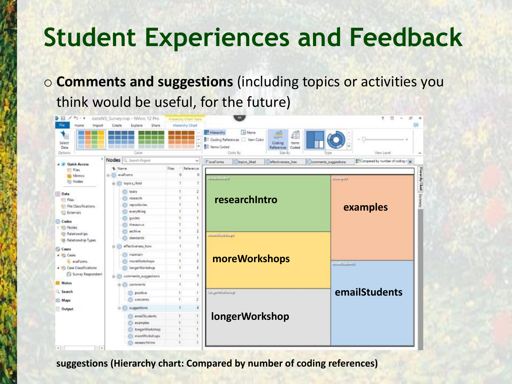o **Comments and suggestions** (including topics or activities you think would be useful, for the future)

| $\Theta$ $\Box$<br>$+3.74$<br>File<br>Home<br>Import | dataWS Survey.nvp - Mvivo 12 Pro<br>Share<br>Create<br>Explore | Hierarchy Chart Tools.<br><b>Hierarchy Chart</b> |                                                                                                                                                                      |                                                                        |
|------------------------------------------------------|----------------------------------------------------------------|--------------------------------------------------|----------------------------------------------------------------------------------------------------------------------------------------------------------------------|------------------------------------------------------------------------|
| Select<br>Data<br>Options                            | Color                                                          |                                                  | I <sub>m</sub> None<br>Hierarchy<br>ë<br>đ<br>Cooling References   Item Color<br>Coding<br>Items<br><b>Berns Coded</b><br>References<br>Coded<br>Color By<br>Size By | View Level<br>Type                                                     |
| <b>A 3 Quick Access</b>                              | Nodes<br>Q. Search Project                                     | ×                                                | <b>Chopics_liked</b><br>Cefectiveness how<br><b>F</b> evaForms                                                                                                       | <sup>87</sup> Compared by number of coding r x<br>Commerts_suggestions |
| Ell Files                                            | % Name                                                         | / Reference<br>Files:                            |                                                                                                                                                                      |                                                                        |
| <b>Will Memos</b>                                    | $\equiv$ $\qquad$ evaluation                                   | $\Omega$<br>o                                    | <b>Continue</b>                                                                                                                                                      | تمثو سنده                                                              |
| <b>Nodes</b>                                         | 7<br><b>B</b> topics liked                                     |                                                  |                                                                                                                                                                      |                                                                        |
| Data                                                 | <b>Co</b> tools                                                | 2                                                |                                                                                                                                                                      |                                                                        |
| Elli Files                                           | research                                                       |                                                  | researchintro                                                                                                                                                        |                                                                        |
| <b>ED File Classifications</b>                       | <b>Co</b> repositories                                         |                                                  |                                                                                                                                                                      | examples                                                               |
| <b>Coll</b> Externals                                | everything                                                     |                                                  |                                                                                                                                                                      |                                                                        |
| Codes                                                | guides                                                         |                                                  |                                                                                                                                                                      |                                                                        |
| 1 8% Nodes                                           | thesaurus.                                                     | ÷<br>3                                           |                                                                                                                                                                      |                                                                        |
| <b>Relationships</b>                                 | archive                                                        | 2                                                | تبومنتفعانافت                                                                                                                                                        |                                                                        |
| <sup>1</sup> Relationship Types                      | standards                                                      | ÷.<br>$\mathbb{I}$                               |                                                                                                                                                                      |                                                                        |
| C Cases                                              | effectiveness how<br>$H$ ( )                                   | $\overline{7}$<br>1                              |                                                                                                                                                                      |                                                                        |
| a US Cases                                           | maintain                                                       | 1<br>ı                                           |                                                                                                                                                                      |                                                                        |
| <b>It evaforms</b>                                   | moneWorkshops                                                  | $\mathbf{z}$<br>ŧ                                | moreWorkshops                                                                                                                                                        | an distributions.                                                      |
| 4 (6) Case Classifications                           | longerWorkshop                                                 | t<br>3                                           |                                                                                                                                                                      |                                                                        |
| Survey Respondent                                    | comments suggestions<br>由心                                     | $\overline{7}$<br>ч.                             |                                                                                                                                                                      |                                                                        |
| <b>Notes</b>                                         | e comments                                                     | з<br>$\mathbf{1}$                                |                                                                                                                                                                      |                                                                        |
| Search                                               | positive                                                       | 1                                                | يرملنقطانهمزمنا                                                                                                                                                      | emailStudents                                                          |
| Sic Maps                                             | concerns                                                       | 2                                                |                                                                                                                                                                      |                                                                        |
|                                                      | suggestions                                                    | 4                                                |                                                                                                                                                                      |                                                                        |
| Output                                               |                                                                |                                                  |                                                                                                                                                                      |                                                                        |
|                                                      | emailStudents                                                  |                                                  | <b>longerWorkshop</b>                                                                                                                                                |                                                                        |
|                                                      | examples                                                       |                                                  |                                                                                                                                                                      |                                                                        |
|                                                      | IongerWorkshop                                                 |                                                  |                                                                                                                                                                      |                                                                        |
|                                                      | moreWorkshops<br>researchintro                                 |                                                  |                                                                                                                                                                      |                                                                        |
| $+$<br>$\sqrt{2}$                                    |                                                                |                                                  |                                                                                                                                                                      |                                                                        |

**suggestions (Hierarchy chart: Compared by number of coding references)**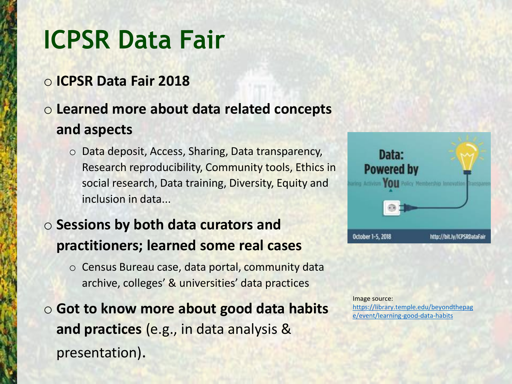### **ICPSR Data Fair**

#### o **ICPSR Data Fair 2018**

### o **Learned more about data related concepts and aspects**

o Data deposit, Access, Sharing, Data transparency, Research reproducibility, Community tools, Ethics in social research, Data training, Diversity, Equity and inclusion in data...

#### o **Sessions by both data curators and practitioners; learned some real cases**

- o Census Bureau case, data portal, community data archive, colleges' & universities' data practices
- o **Got to know more about good data habits and practices** (e.g., in data analysis & presentation).



Image source: [https://library.temple.edu/beyondthepag](https://library.temple.edu/beyondthepage/event/learning-good-data-habits) e/event/learning-good-data-habits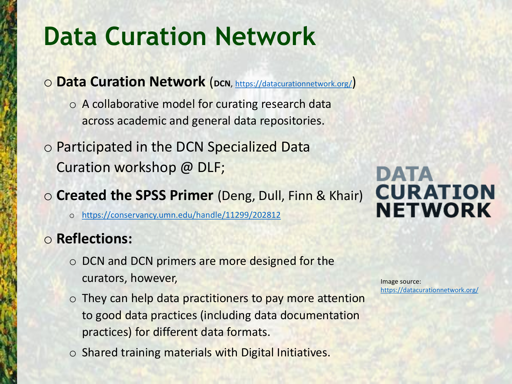### **Data Curation Network**

- o **Data Curation Network** (**DCN**, <https://datacurationnetwork.org/>)
	- o A collaborative model for curating research data across academic and general data repositories.
- o Participated in the DCN Specialized Data Curation workshop @ DLF;

#### o **Created the SPSS Primer** (Deng, Dull, Finn & Khair)

o <https://conservancy.umn.edu/handle/11299/202812>

#### o **Reflections:**

- o DCN and DCN primers are more designed for the curators, however,
- $\circ$  They can help data practitioners to pay more attention to good data practices (including data documentation practices) for different data formats.
- o Shared training materials with Digital Initiatives.

Image source: <https://datacurationnetwork.org/>

### **DATA CURATION NETWORK**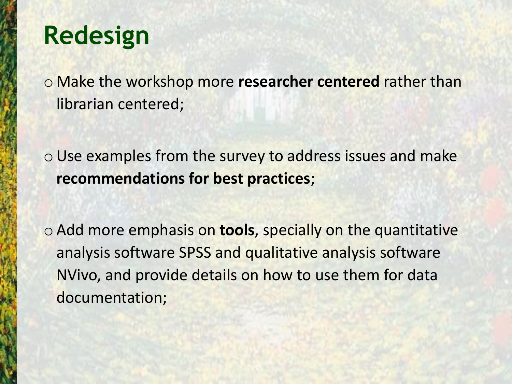### **Redesign**

o Make the workshop more **researcher centered** rather than librarian centered;

o Use examples from the survey to address issues and make **recommendations for best practices**;

o Add more emphasis on **tools**, specially on the quantitative analysis software SPSS and qualitative analysis software NVivo, and provide details on how to use them for data documentation;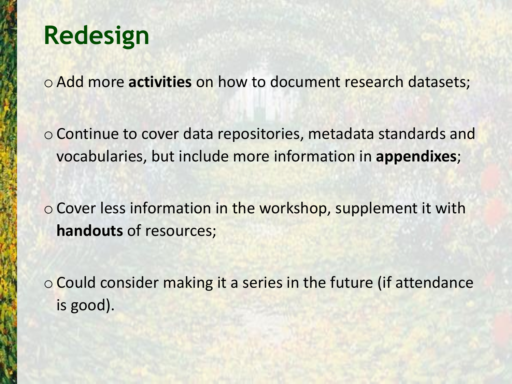### **Redesign**

o Add more **activities** on how to document research datasets;

o Continue to cover data repositories, metadata standards and vocabularies, but include more information in **appendixes**;

o Cover less information in the workshop, supplement it with **handouts** of resources;

o Could consider making it a series in the future (if attendance is good).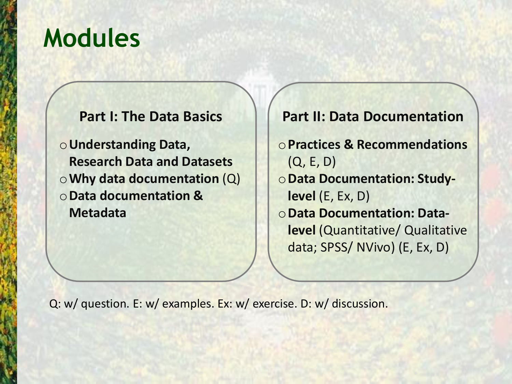### **Modules**

#### **Part I: The Data Basics**

o**Understanding Data, Research Data and Datasets** o**Why data documentation** (Q) o**Data documentation & Metadata**

**Part II: Data Documentation**  o**Practices & Recommendations**  (Q, E, D) o**Data Documentation: Studylevel** (E, Ex, D) o**Data Documentation: Datalevel** (Quantitative/ Qualitative data; SPSS/ NVivo) (E, Ex, D)

Q: w/ question. E: w/ examples. Ex: w/ exercise. D: w/ discussion.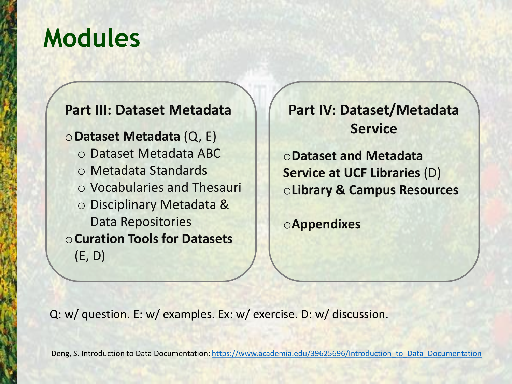### **Modules**

#### **Part III: Dataset Metadata**

o**Dataset Metadata** (Q, E) o Dataset Metadata ABC o Metadata Standards o Vocabularies and Thesauri o Disciplinary Metadata & Data Repositories o**Curation Tools for Datasets**  (E, D)

**Part IV: Dataset/Metadata Service**

o**Dataset and Metadata Service at UCF Libraries** (D) o**Library & Campus Resources**

o**Appendixes**

Q: w/ question. E: w/ examples. Ex: w/ exercise. D: w/ discussion.

Deng, S. Introduction to Data Documentation: [https://www.academia.edu/39625696/Introduction\\_to\\_Data\\_Documentation](https://www.academia.edu/39625696/Introduction_to_Data_Documentation)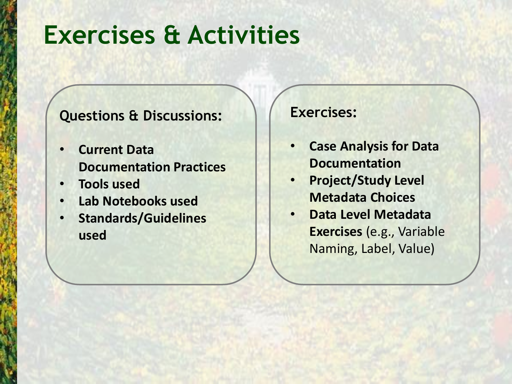### **Exercises & Activities**

#### **Questions & Discussions:**

- **Current Data Documentation Practices**
- **Tools used**
- **Lab Notebooks used**
- **Standards/Guidelines used**

#### **Exercises:**

- **Case Analysis for Data Documentation**
- **Project/Study Level Metadata Choices**
- **Data Level Metadata Exercises** (e.g., Variable Naming, Label, Value)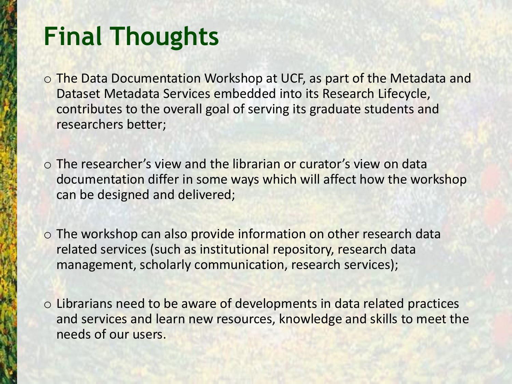### **Final Thoughts**

- o The Data Documentation Workshop at UCF, as part of the Metadata and Dataset Metadata Services embedded into its Research Lifecycle, contributes to the overall goal of serving its graduate students and researchers better;
- o The researcher's view and the librarian or curator's view on data documentation differ in some ways which will affect how the workshop can be designed and delivered;
- o The workshop can also provide information on other research data related services (such as institutional repository, research data management, scholarly communication, research services);
- o Librarians need to be aware of developments in data related practices and services and learn new resources, knowledge and skills to meet the needs of our users.